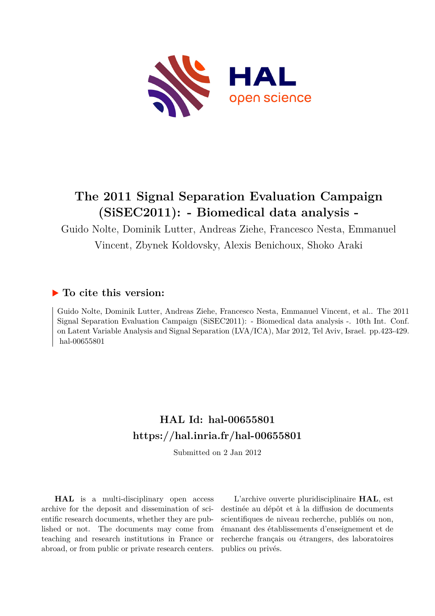

# **The 2011 Signal Separation Evaluation Campaign (SiSEC2011): - Biomedical data analysis -**

Guido Nolte, Dominik Lutter, Andreas Ziehe, Francesco Nesta, Emmanuel Vincent, Zbynek Koldovsky, Alexis Benichoux, Shoko Araki

### **To cite this version:**

Guido Nolte, Dominik Lutter, Andreas Ziehe, Francesco Nesta, Emmanuel Vincent, et al.. The 2011 Signal Separation Evaluation Campaign (SiSEC2011): - Biomedical data analysis -. 10th Int. Conf. on Latent Variable Analysis and Signal Separation (LVA/ICA), Mar 2012, Tel Aviv, Israel. pp.423-429. hal-00655801

## **HAL Id: hal-00655801 <https://hal.inria.fr/hal-00655801>**

Submitted on 2 Jan 2012

**HAL** is a multi-disciplinary open access archive for the deposit and dissemination of scientific research documents, whether they are published or not. The documents may come from teaching and research institutions in France or abroad, or from public or private research centers.

L'archive ouverte pluridisciplinaire **HAL**, est destinée au dépôt et à la diffusion de documents scientifiques de niveau recherche, publiés ou non, émanant des établissements d'enseignement et de recherche français ou étrangers, des laboratoires publics ou privés.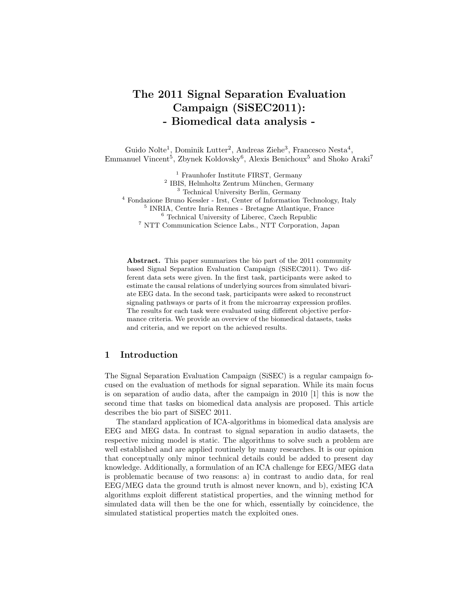## The 2011 Signal Separation Evaluation Campaign (SiSEC2011): - Biomedical data analysis -

Guido Nolte<sup>1</sup>, Dominik Lutter<sup>2</sup>, Andreas Ziehe<sup>3</sup>, Francesco Nesta<sup>4</sup>, Emmanuel Vincent<sup>5</sup>, Zbynek Koldovsky<sup>6</sup>, Alexis Benichoux<sup>5</sup> and Shoko Araki<sup>7</sup>

<sup>1</sup> Fraunhofer Institute FIRST, Germany <sup>2</sup> IBIS, Helmholtz Zentrum München, Germany Technical University Berlin, Germany Fondazione Bruno Kessler - Irst, Center of Information Technology, Italy INRIA, Centre Inria Rennes - Bretagne Atlantique, France Technical University of Liberec, Czech Republic NTT Communication Science Labs., NTT Corporation, Japan

Abstract. This paper summarizes the bio part of the 2011 community based Signal Separation Evaluation Campaign (SiSEC2011). Two different data sets were given. In the first task, participants were asked to estimate the causal relations of underlying sources from simulated bivariate EEG data. In the second task, participants were asked to reconstruct signaling pathways or parts of it from the microarray expression profiles. The results for each task were evaluated using different objective performance criteria. We provide an overview of the biomedical datasets, tasks and criteria, and we report on the achieved results.

#### 1 Introduction

The Signal Separation Evaluation Campaign (SiSEC) is a regular campaign focused on the evaluation of methods for signal separation. While its main focus is on separation of audio data, after the campaign in 2010 [1] this is now the second time that tasks on biomedical data analysis are proposed. This article describes the bio part of SiSEC 2011.

The standard application of ICA-algorithms in biomedical data analysis are EEG and MEG data. In contrast to signal separation in audio datasets, the respective mixing model is static. The algorithms to solve such a problem are well established and are applied routinely by many researches. It is our opinion that conceptually only minor technical details could be added to present day knowledge. Additionally, a formulation of an ICA challenge for EEG/MEG data is problematic because of two reasons: a) in contrast to audio data, for real EEG/MEG data the ground truth is almost never known, and b), existing ICA algorithms exploit different statistical properties, and the winning method for simulated data will then be the one for which, essentially by coincidence, the simulated statistical properties match the exploited ones.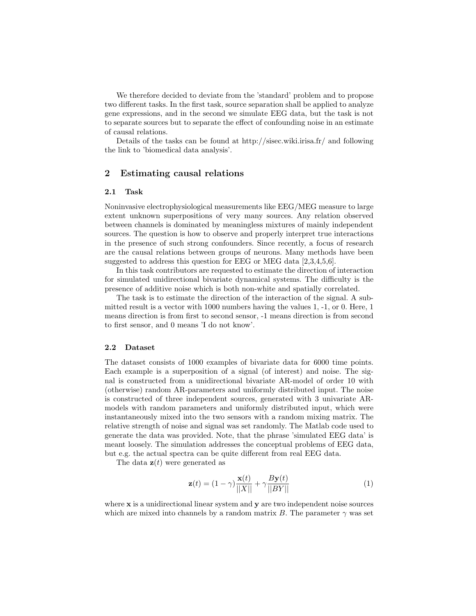We therefore decided to deviate from the 'standard' problem and to propose two different tasks. In the first task, source separation shall be applied to analyze gene expressions, and in the second we simulate EEG data, but the task is not to separate sources but to separate the effect of confounding noise in an estimate of causal relations.

Details of the tasks can be found at http://sisec.wiki.irisa.fr/ and following the link to 'biomedical data analysis'.

#### 2 Estimating causal relations

#### 2.1 Task

Noninvasive electrophysiological measurements like EEG/MEG measure to large extent unknown superpositions of very many sources. Any relation observed between channels is dominated by meaningless mixtures of mainly independent sources. The question is how to observe and properly interpret true interactions in the presence of such strong confounders. Since recently, a focus of research are the causal relations between groups of neurons. Many methods have been suggested to address this question for EEG or MEG data [2,3,4,5,6].

In this task contributors are requested to estimate the direction of interaction for simulated unidirectional bivariate dynamical systems. The difficulty is the presence of additive noise which is both non-white and spatially correlated.

The task is to estimate the direction of the interaction of the signal. A submitted result is a vector with 1000 numbers having the values 1, -1, or 0. Here, 1 means direction is from first to second sensor, -1 means direction is from second to first sensor, and 0 means 'I do not know'.

#### 2.2 Dataset

The dataset consists of 1000 examples of bivariate data for 6000 time points. Each example is a superposition of a signal (of interest) and noise. The signal is constructed from a unidirectional bivariate AR-model of order 10 with (otherwise) random AR-parameters and uniformly distributed input. The noise is constructed of three independent sources, generated with 3 univariate ARmodels with random parameters and uniformly distributed input, which were instantaneously mixed into the two sensors with a random mixing matrix. The relative strength of noise and signal was set randomly. The Matlab code used to generate the data was provided. Note, that the phrase 'simulated EEG data' is meant loosely. The simulation addresses the conceptual problems of EEG data, but e.g. the actual spectra can be quite different from real EEG data.

The data  $z(t)$  were generated as

$$
\mathbf{z}(t) = (1 - \gamma) \frac{\mathbf{x}(t)}{||X||} + \gamma \frac{B\mathbf{y}(t)}{||BY||}
$$
(1)

where  $x$  is a unidirectional linear system and  $y$  are two independent noise sources which are mixed into channels by a random matrix B. The parameter  $\gamma$  was set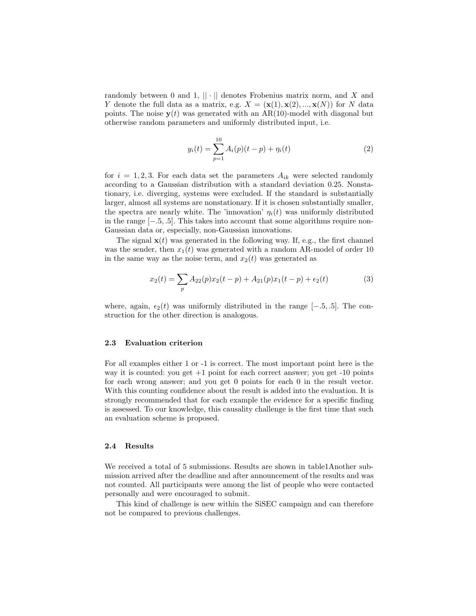randomly between 0 and 1,  $\|\cdot\|$  denotes Frobenius matrix norm, and X and Y denote the full data as a matrix, e.g.  $X = (\mathbf{x}(1), \mathbf{x}(2), ..., \mathbf{x}(N))$  for N data points. The noise  $y(t)$  was generated with an AR(10)-model with diagonal but otherwise random parameters and uniformly distributed input, i.e.

$$
y_i(t) = \sum_{p=1}^{10} A_i(p)(t - p) + \eta_i(t)
$$
\n(2)

for  $i = 1, 2, 3$ . For each data set the parameters  $A_{ik}$  were selected randomly according to a Gaussian distribution with a standard deviation 0.25. Nonstationary, i.e. diverging, systems were excluded. If the standard is substantially larger, almost all systems are nonstationary. If it is chosen substantially smaller, the spectra are nearly white. The 'innovation'  $\eta_i(t)$  was uniformly distributed in the range  $[-.5, .5]$ . This takes into account that some algorithms require non-Gaussian data or, especially, non-Gaussian innovations.

The signal  $\mathbf{x}(t)$  was generated in the following way. If, e.g., the first channel was the sender, then  $x_1(t)$  was generated with a random AR-model of order 10 in the same way as the noise term, and  $x_2(t)$  was generated as

$$
x_2(t) = \sum_p A_{22}(p)x_2(t-p) + A_{21}(p)x_1(t-p) + \epsilon_2(t)
$$
\n(3)

where, again,  $\epsilon_2(t)$  was uniformly distributed in the range [−.5, .5]. The construction for the other direction is analogous.

#### 2.3 Evaluation criterion

For all examples either 1 or -1 is correct. The most important point here is the way it is counted: you get  $+1$  point for each correct answer; you get  $-10$  points for each wrong answer; and you get 0 points for each 0 in the result vector. With this counting confidence about the result is added into the evaluation. It is strongly recommended that for each example the evidence for a specific finding is assessed. To our knowledge, this causality challenge is the first time that such an evaluation scheme is proposed.

#### 2.4 Results

We received a total of 5 submissions. Results are shown in table1Another submission arrived after the deadline and after announcement of the results and was not counted. All participants were among the list of people who were contacted personally and were encouraged to submit.

This kind of challenge is new within the SiSEC campaign and can therefore not be compared to previous challenges.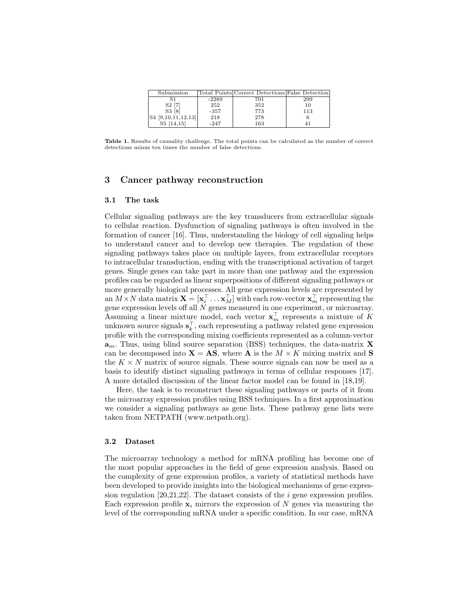| Submission             |        | Total Points Correct Detections False Detection |     |
|------------------------|--------|-------------------------------------------------|-----|
|                        | -2289  | 701                                             | 299 |
| S <sub>2</sub> [7]     | 252    | 352                                             |     |
| S <sub>3</sub> [8]     | $-357$ | 773                                             | 113 |
| $ S4 $ [9,10,11,12,13] | 218    | 278                                             |     |
| S5 [14.15]             | $-247$ | 163                                             |     |

Table 1. Results of causality challenge. The total points can be calculated as the number of correct detections minus ten times the number of false detections.

#### 3 Cancer pathway reconstruction

#### 3.1 The task

Cellular signaling pathways are the key transducers from extracellular signals to cellular reaction. Dysfunction of signaling pathways is often involved in the formation of cancer [16]. Thus, understanding the biology of cell signaling helps to understand cancer and to develop new therapies. The regulation of these signaling pathways takes place on multiple layers, from extracellular receptors to intracellular transduction, ending with the transcriptional activation of target genes. Single genes can take part in more than one pathway and the expression profiles can be regarded as linear superpositions of different signaling pathways or more generally biological processes. All gene expression levels are represented by an  $M \times N$  data matrix  $\mathbf{X} = [\mathbf{x}_i^\top \dots \mathbf{x}_M^\top]$  with each row-vector  $\mathbf{x}_m^\top$  representing the gene expression levels off all  $N$  genes measured in one experiment, or microarray. Assuming a linear mixture model, each vector  $\mathbf{x}_m^{\top}$  represents a mixture of K unknown source signals  $\mathbf{s}_k^{\top}$ , each representing a pathway related gene expression profile with the corresponding mixing coefficients represented as a column-vector  $\mathbf{a}_m$ . Thus, using blind source separation (BSS) techniques, the data-matrix **X** can be decomposed into  $X = AS$ , where A is the  $M \times K$  mixing matrix and S the  $K \times N$  matrix of source signals. These source signals can now be used as a basis to identify distinct signaling pathways in terms of cellular responses [17]. A more detailed discussion of the linear factor model can be found in [18,19].

Here, the task is to reconstruct these signaling pathways or parts of it from the microarray expression profiles using BSS techniques. In a first approximation we consider a signaling pathways as gene lists. These pathway gene lists were taken from NETPATH (www.netpath.org).

#### 3.2 Dataset

The microarray technology a method for mRNA profiling has become one of the most popular approaches in the field of gene expression analysis. Based on the complexity of gene expression profiles, a variety of statistical methods have been developed to provide insights into the biological mechanisms of gene expression regulation  $[20,21,22]$ . The dataset consists of the *i* gene expression profiles. Each expression profile  $x_i$  mirrors the expression of N genes via measuring the level of the corresponding mRNA under a specific condition. In our case, mRNA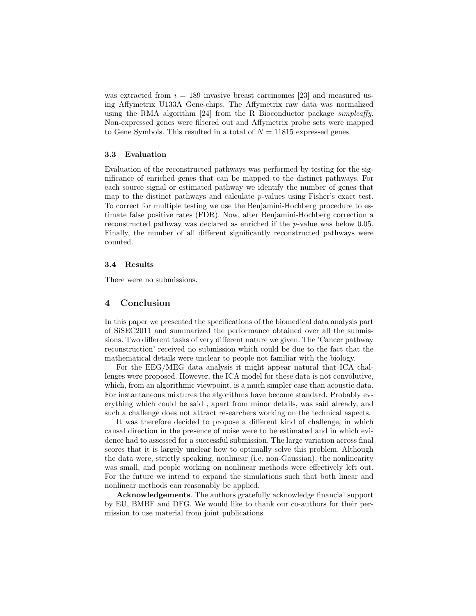was extracted from  $i = 189$  invasive breast carcinomes [23] and measured using Affymetrix U133A Gene-chips. The Affymetrix raw data was normalized using the RMA algorithm [24] from the R Bioconductor package simpleaffy. Non-expressed genes were filtered out and Affymetrix probe sets were mapped to Gene Symbols. This resulted in a total of  $N = 11815$  expressed genes.

#### 3.3 Evaluation

Evaluation of the reconstructed pathways was performed by testing for the significance of enriched genes that can be mapped to the distinct pathways. For each source signal or estimated pathway we identify the number of genes that map to the distinct pathways and calculate p-values using Fisher's exact test. To correct for multiple testing we use the Benjamini-Hochberg procedure to estimate false positive rates (FDR). Now, after Benjamini-Hochberg correction a reconstructed pathway was declared as enriched if the p-value was below 0.05. Finally, the number of all different significantly reconstructed pathways were counted.

#### 3.4 Results

There were no submissions.

#### 4 Conclusion

In this paper we presented the specifications of the biomedical data analysis part of SiSEC2011 and summarized the performance obtained over all the submissions. Two different tasks of very different nature we given. The 'Cancer pathway reconstruction' received no submission which could be due to the fact that the mathematical details were unclear to people not familiar with the biology.

For the EEG/MEG data analysis it might appear natural that ICA challenges were proposed. However, the ICA model for these data is not convolutive, which, from an algorithmic viewpoint, is a much simpler case than acoustic data. For instantaneous mixtures the algorithms have become standard. Probably everything which could be said , apart from minor details, was said already, and such a challenge does not attract researchers working on the technical aspects.

It was therefore decided to propose a different kind of challenge, in which causal direction in the presence of noise were to be estimated and in which evidence had to assessed for a successful submission. The large variation across final scores that it is largely unclear how to optimally solve this problem. Although the data were, strictly speaking, nonlinear (i.e. non-Gaussian), the nonlinearity was small, and people working on nonlinear methods were effectively left out. For the future we intend to expand the simulations such that both linear and nonlinear methods can reasonably be applied.

Acknowledgements. The authors gratefully acknowledge financial support by EU, BMBF and DFG. We would like to thank our co-authors for their permission to use material from joint publications.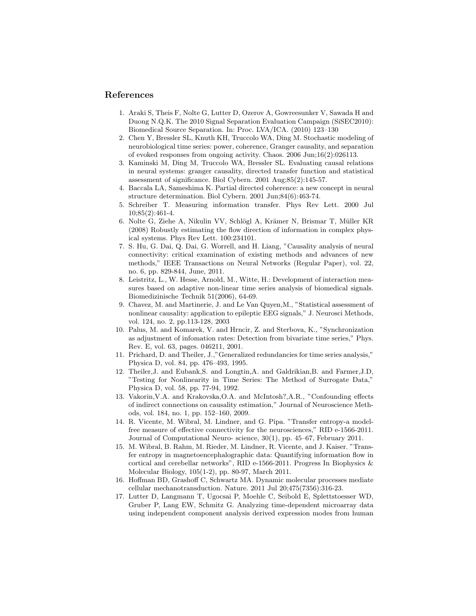#### References

- 1. Araki S, Theis F, Nolte G, Lutter D, Ozerov A, Gowreesunker V, Sawada H and Duong N.Q.K. The 2010 Signal Separation Evaluation Campaign (SiSEC2010): Biomedical Source Separation. In: Proc. LVA/ICA. (2010) 123–130
- 2. Chen Y, Bressler SL, Knuth KH, Truccolo WA, Ding M. Stochastic modeling of neurobiological time series: power, coherence, Granger causality, and separation of evoked responses from ongoing activity. Chaos. 2006 Jun;16(2):026113.
- 3. Kaminski M, Ding M, Truccolo WA, Bressler SL. Evaluating causal relations in neural systems: granger causality, directed transfer function and statistical assessment of significance. Biol Cybern. 2001 Aug;85(2):145-57.
- 4. Baccala LA, Sameshima K. Partial directed coherence: a new concept in neural structure determination. Biol Cybern. 2001 Jun;84(6):463-74.
- 5. Schreiber T. Measuring information transfer. Phys Rev Lett. 2000 Jul 10;85(2):461-4.
- 6. Nolte G, Ziehe A, Nikulin VV, Schlögl A, Krämer N, Brismar T, Müller KR (2008) Robustly estimating the flow direction of information in complex physical systems. Phys Rev Lett. 100:234101.
- 7. S. Hu, G. Dai, Q. Dai, G. Worrell, and H. Liang, "Causality analysis of neural connectivity: critical examination of existing methods and advances of new methods," IEEE Transactions on Neural Networks (Regular Paper), vol. 22, no. 6, pp. 829-844, June, 2011.
- 8. Leistritz, L., W. Hesse, Arnold, M., Witte, H.: Development of interaction measures based on adaptive non-linear time series analysis of biomedical signals. Biomedizinische Technik 51(2006), 64-69.
- 9. Chavez, M. and Martinerie, J. and Le Van Quyen,M., "Statistical assessment of nonlinear causality: application to epileptic EEG signals," J. Neurosci Methods, vol. 124, no. 2, pp.113-128, 2003
- 10. Palus, M. and Komarek, V. and Hrncir, Z. and Sterbova, K., "Synchronization as adjustment of infomation rates: Detection from bivariate time series," Phys. Rev. E, vol. 63, pages. 046211, 2001.
- 11. Prichard, D. and Theiler, J.,"Generalized redundancies for time series analysis," Physica D, vol. 84, pp. 476–493, 1995.
- 12. Theiler,J. and Eubank,S. and Longtin,A. and Galdrikian,B. and Farmer,J.D, "Testing for Nonlinearity in Time Series: The Method of Surrogate Data," Physica D, vol. 58, pp. 77-94, 1992.
- 13. Vakorin,V.A. and Krakovska,O.A. and McIntosh?,A.R., "Confounding effects of indirect connections on causality estimation," Journal of Neuroscience Methods, vol. 184, no. 1, pp. 152–160, 2009.
- 14. R. Vicente, M. Wibral, M. Lindner, and G. Pipa. "Transfer entropy-a modelfree measure of effective connectivity for the neurosciences," RID e-1566-2011. Journal of Computational Neuro- science, 30(1), pp. 45–67, February 2011.
- 15. M. Wibral, B. Rahm, M. Rieder, M. Lindner, R. Vicente, and J. Kaiser. "Transfer entropy in magnetoencephalographic data: Quantifying information flow in cortical and cerebellar networks", RID e-1566-2011. Progress In Biophysics & Molecular Biology, 105(1-2), pp. 80-97, March 2011.
- 16. Hoffman BD, Grashoff C, Schwartz MA. Dynamic molecular processes mediate cellular mechanotransduction. Nature. 2011 Jul 20;475(7356):316-23.
- 17. Lutter D, Langmann T, Ugocsai P, Moehle C, Seibold E, Splettstoesser WD, Gruber P, Lang EW, Schmitz G. Analyzing time-dependent microarray data using independent component analysis derived expression modes from human